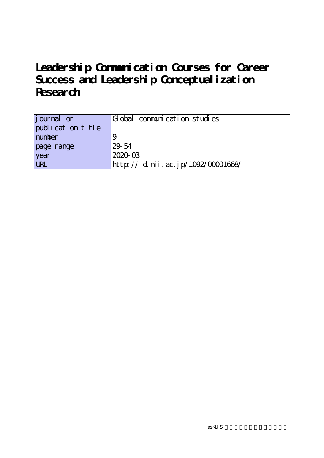| j ournal or       | Global communication studies       |
|-------------------|------------------------------------|
| publication title |                                    |
| number            |                                    |
| page range        | 29-54                              |
| year<br>URL       | 2020-03                            |
|                   | http://id.nii.ac.jp/1092/00001668/ |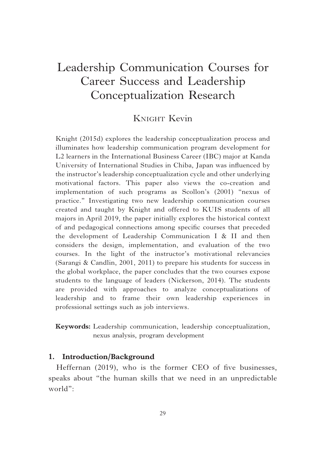### KNIGHT Kevin

Knight (2015d) explores the leadership conceptualization process and illuminates how leadership communication program development for L2 learners in the International Business Career (IBC) major at Kanda University of International Studies in Chiba, Japan was influenced by the instructor's leadership conceptualization cycle and other underlying motivational factors. This paper also views the co-creation and implementation of such programs as Scollon's (2001) "nexus of practice." Investigating two new leadership communication courses created and taught by Knight and offered to KUIS students of all majors in April 2019, the paper initially explores the historical context of and pedagogical connections among specifi c courses that preceded the development of Leadership Communication I & II and then considers the design, implementation, and evaluation of the two courses. In the light of the instructor's motivational relevancies (Sarangi & Candlin, 2001, 2011) to prepare his students for success in the global workplace, the paper concludes that the two courses expose students to the language of leaders (Nickerson, 2014). The students are provided with approaches to analyze conceptualizations of leadership and to frame their own leadership experiences in professional settings such as job interviews.

**Keywords:** Leadership communication, leadership conceptualization, nexus analysis, program development

#### **1. Introduction/Background**

Heffernan (2019), who is the former CEO of five businesses, speaks about "the human skills that we need in an unpredictable world":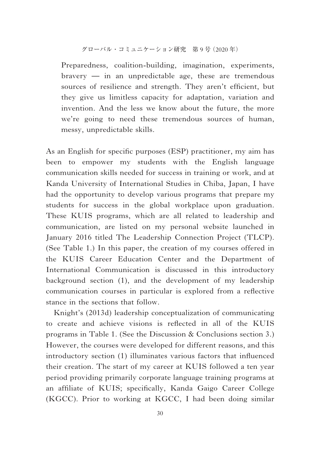Preparedness, coalition-building, imagination, experiments, bravery — in an unpredictable age, these are tremendous sources of resilience and strength. They aren't efficient, but they give us limitless capacity for adaptation, variation and invention. And the less we know about the future, the more we're going to need these tremendous sources of human, messy, unpredictable skills.

As an English for specific purposes (ESP) practitioner, my aim has been to empower my students with the English language communication skills needed for success in training or work, and at Kanda University of International Studies in Chiba, Japan, I have had the opportunity to develop various programs that prepare my students for success in the global workplace upon graduation. These KUIS programs, which are all related to leadership and communication, are listed on my personal website launched in January 2016 titled The Leadership Connection Project (TLCP). (See Table 1.) In this paper, the creation of my courses offered in the KUIS Career Education Center and the Department of International Communication is discussed in this introductory background section (1), and the development of my leadership communication courses in particular is explored from a reflective stance in the sections that follow.

Knight's (2013d) leadership conceptualization of communicating to create and achieve visions is reflected in all of the KUIS programs in Table 1. (See the Discussion & Conclusions section 3.) However, the courses were developed for different reasons, and this introductory section (1) illuminates various factors that influenced their creation. The start of my career at KUIS followed a ten year period providing primarily corporate language training programs at an affiliate of KUIS; specifically, Kanda Gaigo Career College (KGCC). Prior to working at KGCC, I had been doing similar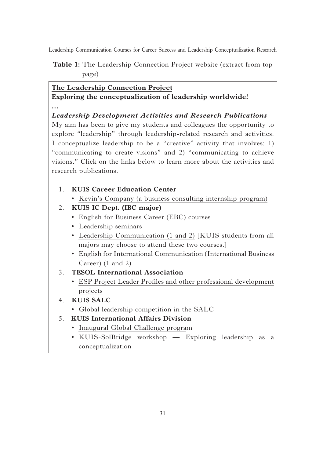**Table 1:** The Leadership Connection Project website (extract from top page)

#### **The Leadership Connection Project**

**Exploring the conceptualization of leadership worldwide! …**

#### *Leadership Development Activities and Research Publications*

My aim has been to give my students and colleagues the opportunity to explore "leadership" through leadership-related research and activities. I conceptualize leadership to be a "creative" activity that involves: 1) "communicating to create visions" and 2) "communicating to achieve visions." Click on the links below to learn more about the activities and research publications.

- 1. **KUIS Career Education Center**
	- Kevin's Company (a business consulting internship program)
- 2. **KUIS IC Dept. (IBC major)**
	- English for Business Career (EBC) courses
	- Leadership seminars
	- Leadership Communication (1 and 2) [KUIS students from all majors may choose to attend these two courses.]
	- English for International Communication (International Business Career) (1 and 2)
- 3. **TESOL International Association**
	- ESP Project Leader Profiles and other professional development projects
- 4. **KUIS SALC**
	- Global leadership competition in the SALC
- 5. **KUIS International Affairs Division**
	- Inaugural Global Challenge program
	- KUIS-SolBridge workshop Exploring leadership as a conceptualization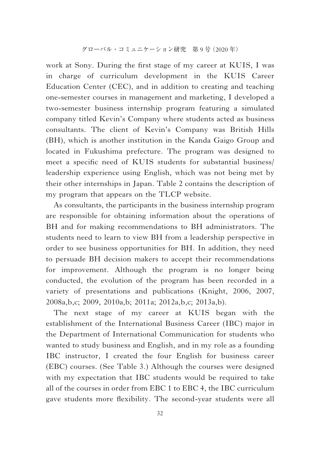work at Sony. During the first stage of my career at KUIS, I was in charge of curriculum development in the KUIS Career Education Center (CEC), and in addition to creating and teaching one-semester courses in management and marketing, I developed a two-semester business internship program featuring a simulated company titled Kevin's Company where students acted as business consultants. The client of Kevin's Company was British Hills (BH), which is another institution in the Kanda Gaigo Group and located in Fukushima prefecture. The program was designed to meet a specific need of KUIS students for substantial business/ leadership experience using English, which was not being met by their other internships in Japan. Table 2 contains the description of my program that appears on the TLCP website.

As consultants, the participants in the business internship program are responsible for obtaining information about the operations of BH and for making recommendations to BH administrators. The students need to learn to view BH from a leadership perspective in order to see business opportunities for BH. In addition, they need to persuade BH decision makers to accept their recommendations for improvement. Although the program is no longer being conducted, the evolution of the program has been recorded in a variety of presentations and publications (Knight, 2006, 2007, 2008a,b,c; 2009, 2010a,b; 2011a; 2012a,b,c; 2013a,b).

The next stage of my career at KUIS began with the establishment of the International Business Career (IBC) major in the Department of International Communication for students who wanted to study business and English, and in my role as a founding IBC instructor, I created the four English for business career (EBC) courses. (See Table 3.) Although the courses were designed with my expectation that IBC students would be required to take all of the courses in order from EBC 1 to EBC 4, the IBC curriculum gave students more flexibility. The second-year students were all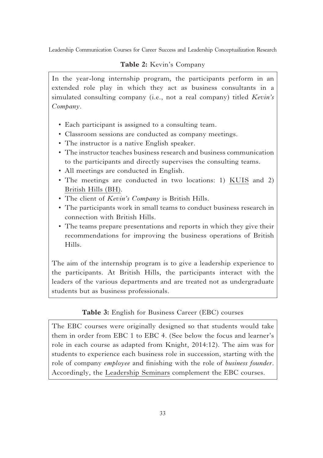#### **Table 2:** Kevin's Company

In the year-long internship program, the participants perform in an extended role play in which they act as business consultants in a simulated consulting company (i.e., not a real company) titled *Kevin's Company*.

- Each participant is assigned to a consulting team.
- Classroom sessions are conducted as company meetings.
- The instructor is a native English speaker.
- The instructor teaches business research and business communication to the participants and directly supervises the consulting teams.
- All meetings are conducted in English.
- The meetings are conducted in two locations: 1) KUIS and 2) British Hills (BH).
- The client of *Kevin's Company* is British Hills.
- The participants work in small teams to conduct business research in connection with British Hills.
- The teams prepare presentations and reports in which they give their recommendations for improving the business operations of British Hills.

The aim of the internship program is to give a leadership experience to the participants. At British Hills, the participants interact with the leaders of the various departments and are treated not as undergraduate students but as business professionals.

#### **Table 3:** English for Business Career (EBC) courses

The EBC courses were originally designed so that students would take them in order from EBC 1 to EBC 4. (See below the focus and learner's role in each course as adapted from Knight, 2014:12). The aim was for students to experience each business role in succession, starting with the role of company *employee* and finishing with the role of *business founder*. Accordingly, the Leadership Seminars complement the EBC courses.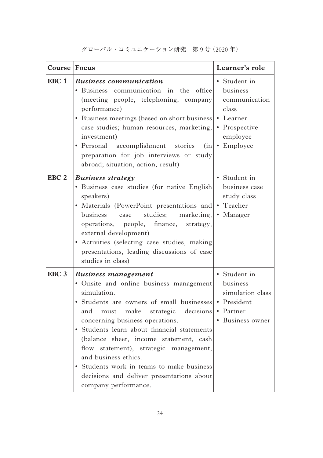| Course Focus     |                                                                                                                                                                                                                                                                                                                                                                                                                                                                                                     | Learner's role                                                                                |
|------------------|-----------------------------------------------------------------------------------------------------------------------------------------------------------------------------------------------------------------------------------------------------------------------------------------------------------------------------------------------------------------------------------------------------------------------------------------------------------------------------------------------------|-----------------------------------------------------------------------------------------------|
| EBC <sub>1</sub> | <b>Business communication</b><br>Business communication in the office<br>(meeting people, telephoning, company<br>performance)<br>• Business meetings (based on short business • Learner<br>case studies; human resources, marketing,<br>investment)<br>• Personal accomplishment stories<br>(in)<br>preparation for job interviews or study<br>abroad; situation, action, result)                                                                                                                  | • Student in<br>business<br>communication<br>class<br>• Prospective<br>employee<br>• Employee |
| EBC <sub>2</sub> | <b>Business strategy</b><br>• Business case studies (for native English<br>speakers)<br>• Materials (PowerPoint presentations and • Teacher<br>studies; marketing,<br>business case<br>finance,<br>operations, people,<br>strategy,<br>external development)<br>• Activities (selecting case studies, making<br>presentations, leading discussions of case<br>studies in class)                                                                                                                     | • Student in<br>business case<br>study class<br>• Manager                                     |
| EBC <sub>3</sub> | <b>Business management</b><br>· Onsite and online business management<br>simulation.<br>Students are owners of small businesses • President<br>must make strategic decisions<br>and<br>concerning business operations.<br>• Students learn about financial statements<br>(balance sheet, income statement, cash<br>flow statement), strategic management,<br>and business ethics.<br>• Students work in teams to make business<br>decisions and deliver presentations about<br>company performance. | • Student in<br>business<br>simulation class<br>• Partner<br>• Business owner                 |

グローバル・コミュニケーション研究 第 9 号(2020 年)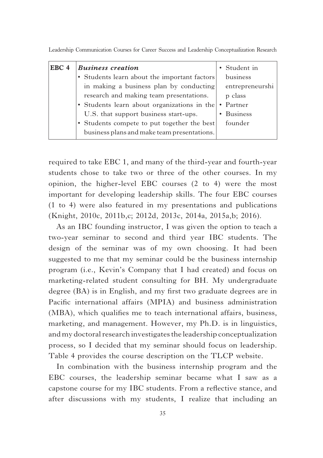Leadership Communication Courses for Career Success and Leadership Conceptualization Research

| EBC 4 | <b>Business creation</b>                                                                                                                                                                                                      | • Student in                                  |
|-------|-------------------------------------------------------------------------------------------------------------------------------------------------------------------------------------------------------------------------------|-----------------------------------------------|
|       | • Students learn about the important factors<br>in making a business plan by conducting                                                                                                                                       | business<br>entrepreneurshi                   |
|       | research and making team presentations.<br>• Students learn about organizations in the<br>U.S. that support business start-ups.<br>• Students compete to put together the best<br>business plans and make team presentations. | p class<br>• Partner<br>• Business<br>founder |

required to take EBC 1, and many of the third-year and fourth-year students chose to take two or three of the other courses. In my opinion, the higher-level EBC courses (2 to 4) were the most important for developing leadership skills. The four EBC courses (1 to 4) were also featured in my presentations and publications (Knight, 2010c, 2011b,c; 2012d, 2013c, 2014a, 2015a,b; 2016).

As an IBC founding instructor, I was given the option to teach a two-year seminar to second and third year IBC students. The design of the seminar was of my own choosing. It had been suggested to me that my seminar could be the business internship program (i.e., Kevin's Company that I had created) and focus on marketing-related student consulting for BH. My undergraduate degree (BA) is in English, and my first two graduate degrees are in Pacific international affairs (MPIA) and business administration (MBA), which qualifies me to teach international affairs, business, marketing, and management. However, my Ph.D. is in linguistics, and my doctoral research investigates the leadership conceptualization process, so I decided that my seminar should focus on leadership. Table 4 provides the course description on the TLCP website.

In combination with the business internship program and the EBC courses, the leadership seminar became what I saw as a capstone course for my IBC students. From a reflective stance, and after discussions with my students, I realize that including an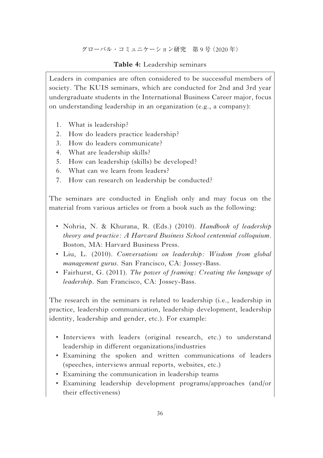#### **Table 4:** Leadership seminars

Leaders in companies are often considered to be successful members of society. The KUIS seminars, which are conducted for 2nd and 3rd year undergraduate students in the International Business Career major, focus on understanding leadership in an organization (e.g., a company):

- 1. What is leadership?
- 2. How do leaders practice leadership?
- 3. How do leaders communicate?
- 4. What are leadership skills?
- 5. How can leadership (skills) be developed?
- 6. What can we learn from leaders?
- 7. How can research on leadership be conducted?

The seminars are conducted in English only and may focus on the material from various articles or from a book such as the following:

- Nohria, N. & Khurana, R. (Eds.) (2010). *Handbook of leadership theory and practice: A Harvard Business School centennial colloquium*. Boston, MA: Harvard Business Press.
- Liu, L. (2010). *Conversations on leadership: Wisdom from global management gurus*. San Francisco, CA: Jossey-Bass.
- Fairhurst, G. (2011). *The power of framing: Creating the language of leadership*. San Francisco, CA: Jossey-Bass.

The research in the seminars is related to leadership (i.e., leadership in practice, leadership communication, leadership development, leadership identity, leadership and gender, etc.). For example:

- Interviews with leaders (original research, etc.) to understand leadership in different organizations/industries
- Examining the spoken and written communications of leaders (speeches, interviews annual reports, websites, etc.)
- Examining the communication in leadership teams
- Examining leadership development programs/approaches (and/or their effectiveness)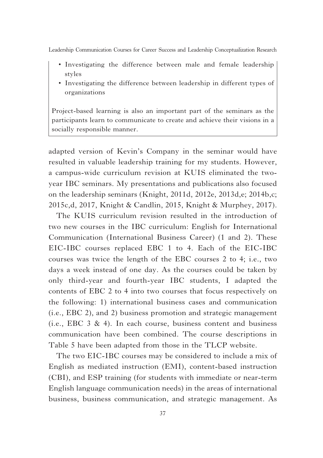- Investigating the difference between male and female leadership styles
- Investigating the difference between leadership in different types of organizations

Project-based learning is also an important part of the seminars as the participants learn to communicate to create and achieve their visions in a socially responsible manner.

adapted version of Kevin's Company in the seminar would have resulted in valuable leadership training for my students. However, a campus-wide curriculum revision at KUIS eliminated the twoyear IBC seminars. My presentations and publications also focused on the leadership seminars (Knight, 2011d, 2012e, 2013d,e; 2014b,c; 2015c,d, 2017, Knight & Candlin, 2015, Knight & Murphey, 2017).

The KUIS curriculum revision resulted in the introduction of two new courses in the IBC curriculum: English for International Communication (International Business Career) (1 and 2). These EIC-IBC courses replaced EBC 1 to 4. Each of the EIC-IBC courses was twice the length of the EBC courses 2 to 4; i.e., two days a week instead of one day. As the courses could be taken by only third-year and fourth-year IBC students, I adapted the contents of EBC 2 to 4 into two courses that focus respectively on the following: 1) international business cases and communication (i.e., EBC 2), and 2) business promotion and strategic management (i.e., EBC  $3 \& 4$ ). In each course, business content and business communication have been combined. The course descriptions in Table 5 have been adapted from those in the TLCP website.

The two EIC-IBC courses may be considered to include a mix of English as mediated instruction (EMI), content-based instruction (CBI), and ESP training (for students with immediate or near-term English language communication needs) in the areas of international business, business communication, and strategic management. As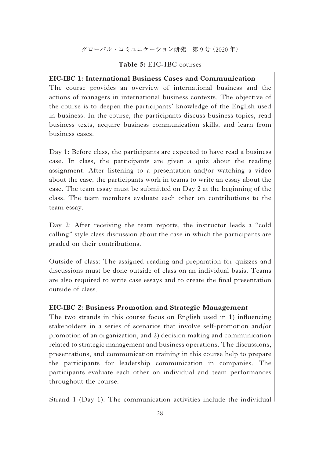#### **Table 5:** EIC-IBC courses

#### **EIC-IBC 1: International Business Cases and Communication**

The course provides an overview of international business and the actions of managers in international business contexts. The objective of the course is to deepen the participants' knowledge of the English used in business. In the course, the participants discuss business topics, read business texts, acquire business communication skills, and learn from business cases.

Day 1: Before class, the participants are expected to have read a business case. In class, the participants are given a quiz about the reading assignment. After listening to a presentation and/or watching a video about the case, the participants work in teams to write an essay about the case. The team essay must be submitted on Day 2 at the beginning of the class. The team members evaluate each other on contributions to the team essay.

Day 2: After receiving the team reports, the instructor leads a "cold calling" style class discussion about the case in which the participants are graded on their contributions.

Outside of class: The assigned reading and preparation for quizzes and discussions must be done outside of class on an individual basis. Teams are also required to write case essays and to create the final presentation outside of class.

#### **EIC-IBC 2: Business Promotion and Strategic Management**

The two strands in this course focus on English used in 1) influencing stakeholders in a series of scenarios that involve self-promotion and/or promotion of an organization, and 2) decision making and communication related to strategic management and business operations. The discussions, presentations, and communication training in this course help to prepare the participants for leadership communication in companies. The participants evaluate each other on individual and team performances throughout the course.

Strand 1 (Day 1): The communication activities include the individual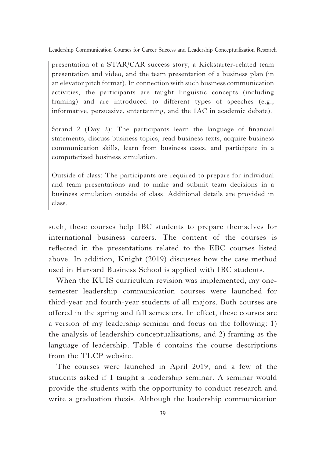presentation of a STAR/CAR success story, a Kickstarter-related team presentation and video, and the team presentation of a business plan (in an elevator pitch format). In connection with such business communication activities, the participants are taught linguistic concepts (including framing) and are introduced to different types of speeches (e.g., informative, persuasive, entertaining, and the 1AC in academic debate).

Strand 2 (Day 2): The participants learn the language of financial statements, discuss business topics, read business texts, acquire business communication skills, learn from business cases, and participate in a computerized business simulation.

Outside of class: The participants are required to prepare for individual and team presentations and to make and submit team decisions in a business simulation outside of class. Additional details are provided in class.

such, these courses help IBC students to prepare themselves for international business careers. The content of the courses is reflected in the presentations related to the EBC courses listed above. In addition, Knight (2019) discusses how the case method used in Harvard Business School is applied with IBC students.

When the KUIS curriculum revision was implemented, my onesemester leadership communication courses were launched for third-year and fourth-year students of all majors. Both courses are offered in the spring and fall semesters. In effect, these courses are a version of my leadership seminar and focus on the following: 1) the analysis of leadership conceptualizations, and 2) framing as the language of leadership. Table 6 contains the course descriptions from the TLCP website.

The courses were launched in April 2019, and a few of the students asked if I taught a leadership seminar. A seminar would provide the students with the opportunity to conduct research and write a graduation thesis. Although the leadership communication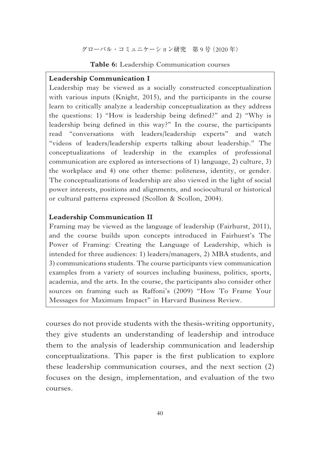#### **Table 6:** Leadership Communication courses

#### **Leadership Communication I**

Leadership may be viewed as a socially constructed conceptualization with various inputs (Knight, 2015), and the participants in the course learn to critically analyze a leadership conceptualization as they address the questions: 1) "How is leadership being defined?" and 2) "Why is leadership being defined in this way?" In the course, the participants read "conversations with leaders/leadership experts" and watch "videos of leaders/leadership experts talking about leadership." The conceptualizations of leadership in the examples of professional communication are explored as intersections of 1) language, 2) culture, 3) the workplace and 4) one other theme: politeness, identity, or gender. The conceptualizations of leadership are also viewed in the light of social power interests, positions and alignments, and sociocultural or historical or cultural patterns expressed (Scollon & Scollon, 2004).

#### **Leadership Communication II**

Framing may be viewed as the language of leadership (Fairhurst, 2011), and the course builds upon concepts introduced in Fairhurst's The Power of Framing: Creating the Language of Leadership, which is intended for three audiences: 1) leaders/managers, 2) MBA students, and 3) communications students. The course participants view communication examples from a variety of sources including business, politics, sports, academia, and the arts. In the course, the participants also consider other sources on framing such as Raffoni's (2009) "How To Frame Your Messages for Maximum Impact" in Harvard Business Review.

courses do not provide students with the thesis-writing opportunity, they give students an understanding of leadership and introduce them to the analysis of leadership communication and leadership conceptualizations. This paper is the first publication to explore these leadership communication courses, and the next section (2) focuses on the design, implementation, and evaluation of the two courses.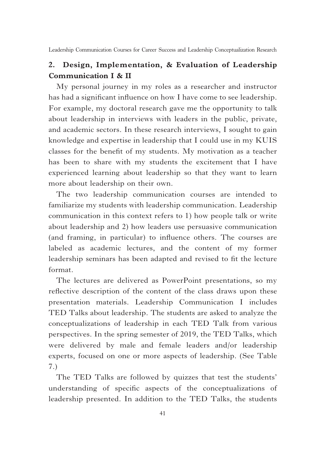## **2. Design, Implementation, & Evaluation of Leadership Communication I & II**

My personal journey in my roles as a researcher and instructor has had a significant influence on how I have come to see leadership. For example, my doctoral research gave me the opportunity to talk about leadership in interviews with leaders in the public, private, and academic sectors. In these research interviews, I sought to gain knowledge and expertise in leadership that I could use in my KUIS classes for the benefi t of my students. My motivation as a teacher has been to share with my students the excitement that I have experienced learning about leadership so that they want to learn more about leadership on their own.

The two leadership communication courses are intended to familiarize my students with leadership communication. Leadership communication in this context refers to 1) how people talk or write about leadership and 2) how leaders use persuasive communication (and framing, in particular) to influence others. The courses are labeled as academic lectures, and the content of my former leadership seminars has been adapted and revised to fit the lecture format.

The lectures are delivered as PowerPoint presentations, so my reflective description of the content of the class draws upon these presentation materials. Leadership Communication I includes TED Talks about leadership. The students are asked to analyze the conceptualizations of leadership in each TED Talk from various perspectives. In the spring semester of 2019, the TED Talks, which were delivered by male and female leaders and/or leadership experts, focused on one or more aspects of leadership. (See Table 7.)

The TED Talks are followed by quizzes that test the students' understanding of specific aspects of the conceptualizations of leadership presented. In addition to the TED Talks, the students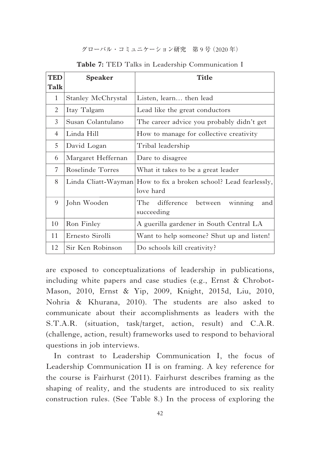グローバル・コミュニケーション研究 第 9 号(2020 年)

| <b>TED</b> | Speaker             | Title                                                     |
|------------|---------------------|-----------------------------------------------------------|
| Talk       |                     |                                                           |
| 1          | Stanley McChrystal  | Listen, learn then lead                                   |
| 2          | Itay Talgam         | Lead like the great conductors                            |
| 3          | Susan Colantulano   | The career advice you probably didn't get                 |
| 4          | Linda Hill          | How to manage for collective creativity                   |
| 5          | David Logan         | Tribal leadership                                         |
| 6          | Margaret Heffernan  | Dare to disagree                                          |
| 7          | Roselinde Torres    | What it takes to be a great leader                        |
| 8          | Linda Cliatt-Wayman | How to fix a broken school? Lead fearlessly,<br>love hard |
| 9          | John Wooden         | The difference between<br>winning<br>and<br>succeeding    |
| 10         | Ron Finley          | A guerilla gardener in South Central LA                   |
| 11         | Ernesto Sirolli     | Want to help someone? Shut up and listen!                 |
| 12         | Sir Ken Robinson    | Do schools kill creativity?                               |

**Table 7:** TED Talks in Leadership Communication I

are exposed to conceptualizations of leadership in publications, including white papers and case studies (e.g., Ernst & Chrobot-Mason, 2010, Ernst & Yip, 2009, Knight, 2015d, Liu, 2010, Nohria & Khurana, 2010). The students are also asked to communicate about their accomplishments as leaders with the S.T.A.R. (situation, task/target, action, result) and C.A.R. (challenge, action, result) frameworks used to respond to behavioral questions in job interviews.

In contrast to Leadership Communication I, the focus of Leadership Communication II is on framing. A key reference for the course is Fairhurst (2011). Fairhurst describes framing as the shaping of reality, and the students are introduced to six reality construction rules. (See Table 8.) In the process of exploring the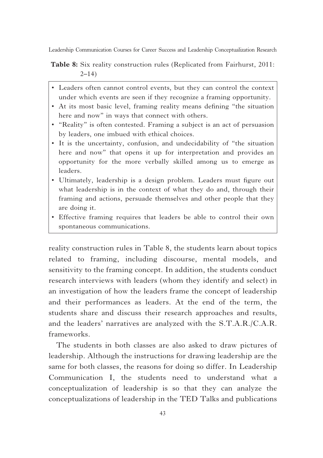**Table 8:** Six reality construction rules (Replicated from Fairhurst, 2011:  $2 - 14$ )

- Leaders often cannot control events, but they can control the context under which events are seen if they recognize a framing opportunity.
- At its most basic level, framing reality means defining "the situation here and now" in ways that connect with others.
- "Reality" is often contested. Framing a subject is an act of persuasion by leaders, one imbued with ethical choices.
- It is the uncertainty, confusion, and undecidability of "the situation here and now" that opens it up for interpretation and provides an opportunity for the more verbally skilled among us to emerge as leaders.
- Ultimately, leadership is a design problem. Leaders must figure out what leadership is in the context of what they do and, through their framing and actions, persuade themselves and other people that they are doing it.
- Effective framing requires that leaders be able to control their own spontaneous communications.

reality construction rules in Table 8, the students learn about topics related to framing, including discourse, mental models, and sensitivity to the framing concept. In addition, the students conduct research interviews with leaders (whom they identify and select) in an investigation of how the leaders frame the concept of leadership and their performances as leaders. At the end of the term, the students share and discuss their research approaches and results, and the leaders' narratives are analyzed with the S.T.A.R./C.A.R. frameworks.

The students in both classes are also asked to draw pictures of leadership. Although the instructions for drawing leadership are the same for both classes, the reasons for doing so differ. In Leadership Communication I, the students need to understand what a conceptualization of leadership is so that they can analyze the conceptualizations of leadership in the TED Talks and publications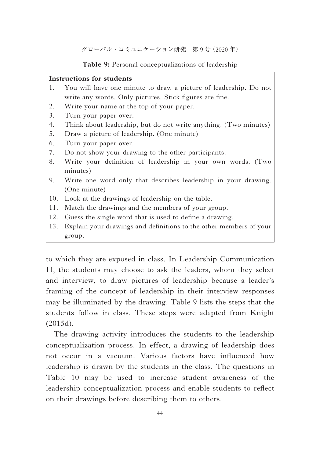**Table 9:** Personal conceptualizations of leadership

#### **Instructions for students**

- 1. You will have one minute to draw a picture of leadership. Do not write any words. Only pictures. Stick figures are fine.
- 2. Write your name at the top of your paper.
- 3. Turn your paper over.
- 4. Think about leadership, but do not write anything. (Two minutes)
- 5. Draw a picture of leadership. (One minute)
- 6. Turn your paper over.
- 7. Do not show your drawing to the other participants.
- 8. Write your definition of leadership in your own words. (Two minutes)
- 9. Write one word only that describes leadership in your drawing. (One minute)
- 10. Look at the drawings of leadership on the table.
- 11. Match the drawings and the members of your group.
- 12. Guess the single word that is used to define a drawing.
- 13. Explain your drawings and definitions to the other members of your group.

to which they are exposed in class. In Leadership Communication II, the students may choose to ask the leaders, whom they select and interview, to draw pictures of leadership because a leader's framing of the concept of leadership in their interview responses may be illuminated by the drawing. Table 9 lists the steps that the students follow in class. These steps were adapted from Knight (2015d).

The drawing activity introduces the students to the leadership conceptualization process. In effect, a drawing of leadership does not occur in a vacuum. Various factors have influenced how leadership is drawn by the students in the class. The questions in Table 10 may be used to increase student awareness of the leadership conceptualization process and enable students to reflect on their drawings before describing them to others.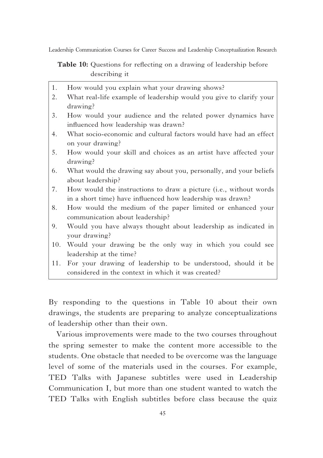**Table 10:** Questions for reflecting on a drawing of leadership before describing it

- 1. How would you explain what your drawing shows? 2. What real-life example of leadership would you give to clarify your drawing? 3. How would your audience and the related power dynamics have influenced how leadership was drawn? 4. What socio-economic and cultural factors would have had an effect on your drawing? 5. How would your skill and choices as an artist have affected your drawing? 6. What would the drawing say about you, personally, and your beliefs about leadership? 7. How would the instructions to draw a picture (i.e., without words in a short time) have influenced how leadership was drawn?
- 8. How would the medium of the paper limited or enhanced your communication about leadership?
- 9. Would you have always thought about leadership as indicated in your drawing?
- 10. Would your drawing be the only way in which you could see leadership at the time?
- 11. For your drawing of leadership to be understood, should it be considered in the context in which it was created?

By responding to the questions in Table 10 about their own drawings, the students are preparing to analyze conceptualizations of leadership other than their own.

Various improvements were made to the two courses throughout the spring semester to make the content more accessible to the students. One obstacle that needed to be overcome was the language level of some of the materials used in the courses. For example, TED Talks with Japanese subtitles were used in Leadership Communication I, but more than one student wanted to watch the TED Talks with English subtitles before class because the quiz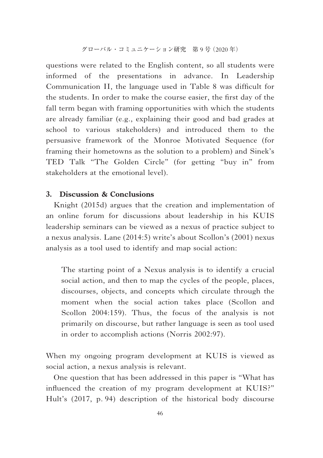questions were related to the English content, so all students were informed of the presentations in advance. In Leadership Communication II, the language used in Table 8 was difficult for the students. In order to make the course easier, the first day of the fall term began with framing opportunities with which the students are already familiar (e.g., explaining their good and bad grades at school to various stakeholders) and introduced them to the persuasive framework of the Monroe Motivated Sequence (for framing their hometowns as the solution to a problem) and Sinek's TED Talk "The Golden Circle" (for getting "buy in" from stakeholders at the emotional level).

#### **3. Discussion & Conclusions**

Knight (2015d) argues that the creation and implementation of an online forum for discussions about leadership in his KUIS leadership seminars can be viewed as a nexus of practice subject to a nexus analysis. Lane (2014:5) write's about Scollon's (2001) nexus analysis as a tool used to identify and map social action:

The starting point of a Nexus analysis is to identify a crucial social action, and then to map the cycles of the people, places, discourses, objects, and concepts which circulate through the moment when the social action takes place (Scollon and Scollon 2004:159). Thus, the focus of the analysis is not primarily on discourse, but rather language is seen as tool used in order to accomplish actions (Norris 2002:97).

When my ongoing program development at KUIS is viewed as social action, a nexus analysis is relevant.

One question that has been addressed in this paper is "What has influenced the creation of my program development at KUIS?" Hult's (2017, p. 94) description of the historical body discourse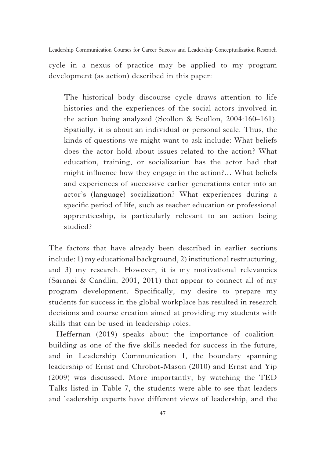cycle in a nexus of practice may be applied to my program development (as action) described in this paper:

The historical body discourse cycle draws attention to life histories and the experiences of the social actors involved in the action being analyzed (Scollon & Scollon, 2004:160–161). Spatially, it is about an individual or personal scale. Thus, the kinds of questions we might want to ask include: What beliefs does the actor hold about issues related to the action? What education, training, or socialization has the actor had that might influence how they engage in the action?... What beliefs and experiences of successive earlier generations enter into an actor's (language) socialization? What experiences during a specific period of life, such as teacher education or professional apprenticeship, is particularly relevant to an action being studied?

The factors that have already been described in earlier sections include: 1) my educational background, 2) institutional restructuring, and 3) my research. However, it is my motivational relevancies (Sarangi & Candlin, 2001, 2011) that appear to connect all of my program development. Specifically, my desire to prepare my students for success in the global workplace has resulted in research decisions and course creation aimed at providing my students with skills that can be used in leadership roles.

Heffernan (2019) speaks about the importance of coalitionbuilding as one of the five skills needed for success in the future, and in Leadership Communication I, the boundary spanning leadership of Ernst and Chrobot-Mason (2010) and Ernst and Yip (2009) was discussed. More importantly, by watching the TED Talks listed in Table 7, the students were able to see that leaders and leadership experts have different views of leadership, and the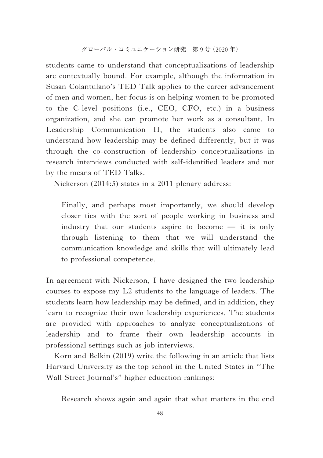students came to understand that conceptualizations of leadership are contextually bound. For example, although the information in Susan Colantulano's TED Talk applies to the career advancement of men and women, her focus is on helping women to be promoted to the C-level positions (i.e., CEO, CFO, etc.) in a business organization, and she can promote her work as a consultant. In Leadership Communication II, the students also came to understand how leadership may be defined differently, but it was through the co-construction of leadership conceptualizations in research interviews conducted with self-identified leaders and not by the means of TED Talks.

Nickerson (2014:5) states in a 2011 plenary address:

Finally, and perhaps most importantly, we should develop closer ties with the sort of people working in business and industry that our students aspire to become — it is only through listening to them that we will understand the communication knowledge and skills that will ultimately lead to professional competence.

In agreement with Nickerson, I have designed the two leadership courses to expose my L2 students to the language of leaders. The students learn how leadership may be defined, and in addition, they learn to recognize their own leadership experiences. The students are provided with approaches to analyze conceptualizations of leadership and to frame their own leadership accounts in professional settings such as job interviews.

Korn and Belkin (2019) write the following in an article that lists Harvard University as the top school in the United States in "The Wall Street Journal's" higher education rankings:

Research shows again and again that what matters in the end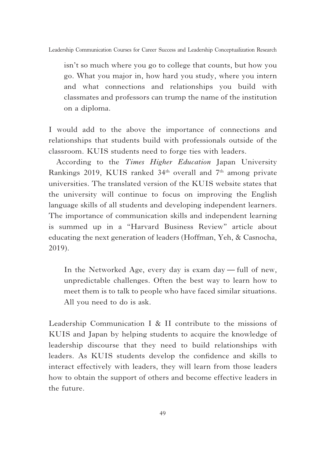isn't so much where you go to college that counts, but how you go. What you major in, how hard you study, where you intern and what connections and relationships you build with classmates and professors can trump the name of the institution on a diploma.

I would add to the above the importance of connections and relationships that students build with professionals outside of the classroom. KUIS students need to forge ties with leaders.

According to the *Times Higher Education* Japan University Rankings 2019, KUIS ranked 34<sup>th</sup> overall and 7<sup>th</sup> among private universities. The translated version of the KUIS website states that the university will continue to focus on improving the English language skills of all students and developing independent learners. The importance of communication skills and independent learning is summed up in a "Harvard Business Review" article about educating the next generation of leaders (Hoffman, Yeh, & Casnocha, 2019).

In the Networked Age, every day is exam day — full of new, unpredictable challenges. Often the best way to learn how to meet them is to talk to people who have faced similar situations. All you need to do is ask.

Leadership Communication I & II contribute to the missions of KUIS and Japan by helping students to acquire the knowledge of leadership discourse that they need to build relationships with leaders. As KUIS students develop the confidence and skills to interact effectively with leaders, they will learn from those leaders how to obtain the support of others and become effective leaders in the future.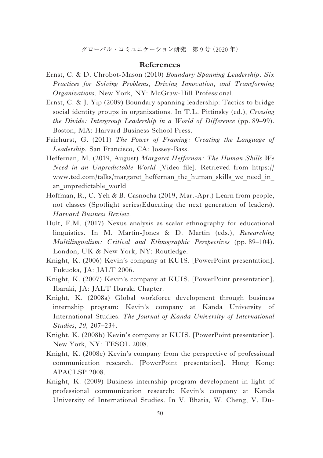グローバル・コミュニケーション研究 第 9 号(2020 年)

#### **References**

- Ernst, C. & D. Chrobot-Mason (2010) *Boundary Spanning Leadership: Six Practices for Solving Problems, Driving Innovation, and Transforming Organizations*. New York, NY: McGraw-Hill Professional.
- Ernst, C. & J. Yip (2009) Boundary spanning leadership: Tactics to bridge social identity groups in organizations. In T.L. Pittinsky (ed.), *Crossing the Divide: Intergroup Leadership in a World of Difference* (pp. 89–99). Boston, MA: Harvard Business School Press.
- Fairhurst, G. (2011) *The Power of Framing: Creating the Language of Leadership*. San Francisco, CA: Jossey-Bass.
- Heffernan, M. (2019, August) *Margaret Heffernan: The Human Skills We Need in an Unpredictable World* [Video file]. Retrieved from https:// www.ted.com/talks/margaret\_heffernan\_the\_human\_skills\_we\_need\_in an\_unpredictable\_world
- Hoffman, R., C. Yeh & B. Casnocha (2019, Mar.-Apr.) Learn from people, not classes (Spotlight series/Educating the next generation of leaders). *Harvard Business Review*.
- Hult, F.M. (2017) Nexus analysis as scalar ethnography for educational linguistics. In M. Martin-Jones & D. Martin (eds.), *Researching Multilingualism: Critical and Ethnographic Perspectives* (pp. 89–104). London, UK & New York, NY: Routledge.
- Knight, K. (2006) Kevin's company at KUIS. [PowerPoint presentation]. Fukuoka, JA: JALT 2006.
- Knight, K. (2007) Kevin's company at KUIS. [PowerPoint presentation]. Ibaraki, JA: JALT Ibaraki Chapter.
- Knight, K. (2008a) Global workforce development through business internship program: Kevin's company at Kanda University of International Studies. *The Journal of Kanda University of International Studies*, *20*, 207–234.
- Knight, K. (2008b) Kevin's company at KUIS. [PowerPoint presentation]. New York, NY: TESOL 2008.
- Knight, K. (2008c) Kevin's company from the perspective of professional communication research. [PowerPoint presentation]. Hong Kong: APACLSP 2008.
- Knight, K. (2009) Business internship program development in light of professional communication research: Kevin's company at Kanda University of International Studies. In V. Bhatia, W. Cheng, V. Du-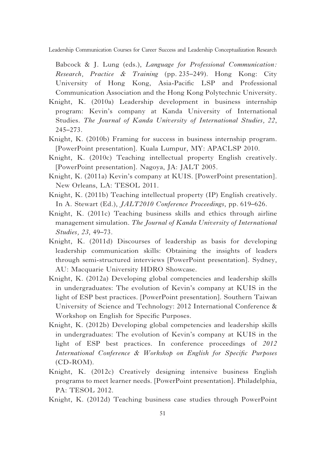Babcock & J. Lung (eds.), *Language for Professional Communication: Research, Practice & Training* (pp. 235–249). Hong Kong: City University of Hong Kong, Asia-Pacific LSP and Professional Communication Association and the Hong Kong Polytechnic University.

- Knight, K. (2010a) Leadership development in business internship program: Kevin's company at Kanda University of International Studies. *The Journal of Kanda University of International Studies, 22*, 245–273.
- Knight, K. (2010b) Framing for success in business internship program. [PowerPoint presentation]. Kuala Lumpur, MY: APACLSP 2010.
- Knight, K. (2010c) Teaching intellectual property English creatively. [PowerPoint presentation]. Nagoya, JA: JALT 2005.
- Knight, K. (2011a) Kevin's company at KUIS. [PowerPoint presentation]. New Orleans, LA: TESOL 2011.
- Knight, K. (2011b) Teaching intellectual property (IP) English creatively. In A. Stewart (Ed.), *JALT2010 Conference Proceedings*, pp. 619–626.
- Knight, K. (2011c) Teaching business skills and ethics through airline management simulation. *The Journal of Kanda University of International Studies, 23*, 49–73.
- Knight, K. (2011d) Discourses of leadership as basis for developing leadership communication skills: Obtaining the insights of leaders through semi-structured interviews [PowerPoint presentation]. Sydney, AU: Macquarie University HDRO Showcase.
- Knight, K. (2012a) Developing global competencies and leadership skills in undergraduates: The evolution of Kevin's company at KUIS in the light of ESP best practices. [PowerPoint presentation]. Southern Taiwan University of Science and Technology: 2012 International Conference & Workshop on English for Specific Purposes.
- Knight, K. (2012b) Developing global competencies and leadership skills in undergraduates: The evolution of Kevin's company at KUIS in the light of ESP best practices. In conference proceedings of *2012 International Conference & Workshop on English for Specific Purposes* (CD-ROM).
- Knight, K. (2012c) Creatively designing intensive business English programs to meet learner needs. [PowerPoint presentation]. Philadelphia, PA: TESOL 2012.

Knight, K. (2012d) Teaching business case studies through PowerPoint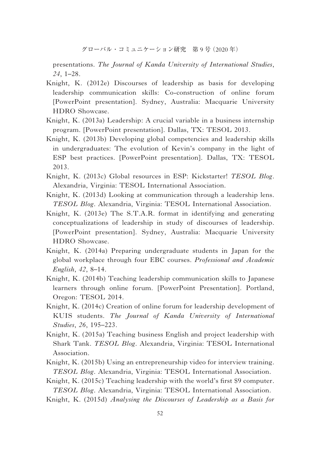presentations. *The Journal of Kanda University of International Studies*, *24*, 1–28.

- Knight, K. (2012e) Discourses of leadership as basis for developing leadership communication skills: Co-construction of online forum [PowerPoint presentation]. Sydney, Australia: Macquarie University HDRO Showcase.
- Knight, K. (2013a) Leadership: A crucial variable in a business internship program. [PowerPoint presentation]. Dallas, TX: TESOL 2013.
- Knight, K. (2013b) Developing global competencies and leadership skills in undergraduates: The evolution of Kevin's company in the light of ESP best practices. [PowerPoint presentation]. Dallas, TX: TESOL 2013.
- Knight, K. (2013c) Global resources in ESP: Kickstarter! *TESOL Blog*. Alexandria, Virginia: TESOL International Association.
- Knight, K. (2013d) Looking at communication through a leadership lens. *TESOL Blog*. Alexandria, Virginia: TESOL International Association.
- Knight, K. (2013e) The S.T.A.R. format in identifying and generating conceptualizations of leadership in study of discourses of leadership*.* [PowerPoint presentation]. Sydney, Australia: Macquarie University HDRO Showcase.
- Knight, K. (2014a) Preparing undergraduate students in Japan for the global workplace through four EBC courses. *Professional and Academic English*, *42*, 8–14.
- Knight, K. (2014b) Teaching leadership communication skills to Japanese learners through online forum. [PowerPoint Presentation]. Portland, Oregon: TESOL 2014.
- Knight, K. (2014c) Creation of online forum for leadership development of KUIS students. *The Journal of Kanda University of International Studies*, *26*, 195–223.
- Knight, K. (2015a) Teaching business English and project leadership with Shark Tank. *TESOL Blog*. Alexandria, Virginia: TESOL International Association.
- Knight, K. (2015b) Using an entrepreneurship video for interview training. *TESOL Blog*. Alexandria, Virginia: TESOL International Association.
- Knight, K.  $(2015c)$  Teaching leadership with the world's first \$9 computer. *TESOL Blog*. Alexandria, Virginia: TESOL International Association.

Knight, K. (2015d) *Analysing the Discourses of Leadership as a Basis for*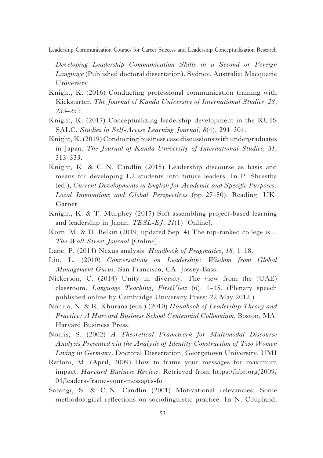*Developing Leadership Communication Skills in a Second or Foreign Language* (Published doctoral dissertation). Sydney, Australia: Macquarie University.

- Knight, K. (2016) Conducting professional communication training with Kickstarter. *The Journal of Kanda University of International Studies, 28, 233–252*.
- Knight, K. (2017) Conceptualizing leadership development in the KUIS SALC. *Studies in Self-Access Learning Journal, 8*(4), 294–304.
- Knight, K. (2019) Conducting business case discussions with undergraduates in Japan. *The Journal of Kanda University of International Studies*, *31*, 313–333.
- Knight, K. & C. N. Candlin (2015) Leadership discourse as basis and means for developing L2 students into future leaders. In P. Shrestha (ed.), *Current Developments in English for Academic and Specific Purposes: Local Innovations and Global Perspectives* (pp. 27–50). Reading, UK: Garnet.
- Knight, K. & T. Murphey (2017) Soft assembling project-based learning and leadership in Japan. *TESL-EJ, 21*(1) [Online].
- Korn, M. & D. Belkin (2019, updated Sep. 4) The top-ranked college is… *The Wall Street Journal* [Online].
- Lane, P. (2014) Nexus analysis. *Handbook of Pragmatics, 18,* 1–18.
- Liu, L. (2010) *Conversations on Leadership: Wisdom from Global Management Gurus*. San Francisco, CA: Jossey-Bass.
- Nickerson, C. (2014) Unity in diversity: The view from the (UAE) classroom. *Language Teaching*, *FirstView* (6), 1–15. (Plenary speech published online by Cambridge University Press: 22 May 2012.)
- Nohria, N. & R. Khurana (eds.) (2010) *Handbook of Leadership Theory and Practice: A Harvard Business School Centennial Colloquium*. Boston, MA: Harvard Business Press.
- Norris, S. (2002) *A Theoretical Framework for Multimodal Discourse Analysis Presented via the Analysis of Identity Construction of Two Women Living in Germany*. Doctoral Dissertation, Georgetown University. UMI
- Raffoni, M. (April, 2009) How to frame your messages for maximum impact. *Harvard Business Review*. Retrieved from https://hbr.org/2009/ 04/leaders-frame-your-messages-fo
- Sarangi, S. & C. N. Candlin (2001) Motivational relevancies: Some methodological reflections on sociolinguistic practice. In N. Coupland,